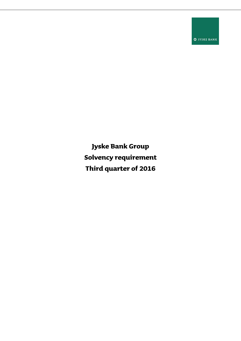**O** JYSKE BANK

**Jyske Bank Group Solvency requirement Third quarter of 2016**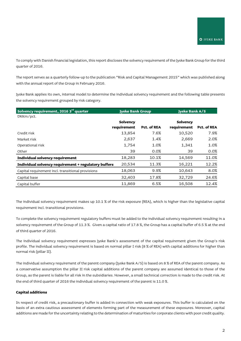To comply with Danish financial legislation, this report discloses the solvency requirement of the Jyske Bank Group for the third quarter of 2016.

The report serves as a quarterly follow-up to the publication "Risk and Capital Management 2015" which was published along with the annual report of the Group in February 2016.

Jyske Bank applies its own, internal model to determine the individual solvency requirement and the following table presents the solvency requirement grouped by risk category.

| Solvency requirement, 2016 3 <sup>rd</sup> quarter   |             | <b>Jyske Bank Group</b> |             | <b>Jyske Bank A/S</b> |  |
|------------------------------------------------------|-------------|-------------------------|-------------|-----------------------|--|
| DKKm/pct.                                            |             |                         |             |                       |  |
|                                                      | Solvency    |                         | Solvency    |                       |  |
|                                                      | requirement | Pct. of REA             | requirement | Pct. of REA           |  |
| Credit risk                                          | 13,854      | 7.6%                    | 10,520      | 7.9%                  |  |
| Market risk                                          | 2,637       | 1.4%                    | 2,669       | 2.0%                  |  |
| Operational risk                                     | 1,754       | 1.0%                    | 1,341       | 1.0%                  |  |
| Other                                                | 39          | 0.0%                    | 39          | 0.0%                  |  |
| Individual solvency requirement                      | 18,283      | 10.1%                   | 14,569      | 11.0%                 |  |
| Individual solvency requirement + regulatory buffers | 20,534      | 11.3%                   | 16,221      | 12.2%                 |  |
| Capital requirement incl. transitional provisions    | 18,063      | 9.9%                    | 10,643      | 8.0%                  |  |
| Capital base                                         | 32,403      | 17.8%                   | 32,729      | 24.6%                 |  |
| Capital buffer                                       | 11,869      | 6.5%                    | 16,508      | 12.4%                 |  |

The individual solvency requirement makes up 10.1 % of the risk exposure (REA), which is higher than the legislative capital requirement incl. transitional provisions.

To complete the solvency requirement regulatory buffers must be added to the individual solvency requirement resulting in a solvency requirement of the Group of 11.3 %. Given a capital ratio of 17.8 %, the Group has a capital buffer of 6.5 % at the end of third quarter of 2016.

The individual solvency requirement expresses Jyske Bank's assessment of the capital requirement given the Group's risk profile. The individual solvency requirement is based on normal pillar I risk (8 % of REA) with capital additions for higher than normal risk (pillar II).

The individual solvency requirement of the parent company (Jyske Bank A/S) is based on 8 % of REA of the parent company. As a conservative assumption the pillar II risk capital additions of the parent company are assumed identical to those of the Group, as the parent is liable for all risk in the subsidiaries. However, a small technical correction is made to the credit risk. At the end of third quarter of 2016 the individual solvency requirement of the parent is 11.0 %.

## **Capital additions**

In respect of credit risk, a precautionary buffer is added in connection with weak exposures. This buffer is calculated on the basis of an extra cautious assessment of elements forming part of the measurement of these exposures. Moreover, capital additions are made for the uncertainty relating to the determination of maturities for corporate clients with poor credit quality.